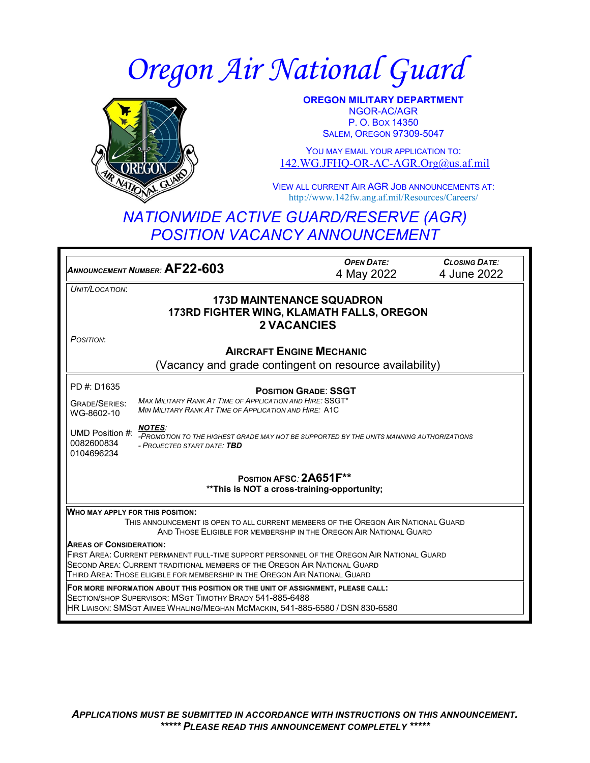# *Oregon Air National Guard*



**OREGON MILITARY DEPARTMENT** NGOR-AC/AGR P. O. BOX 14350 **SALEM, OREGON 97309-5047** 

YOU MAY EMAIL YOUR APPLICATION TO: [142.WG.JFHQ-OR-AC-AGR.Org@us.af.mil](mailto:142.WG.JFHQ-OR-AC-AGR.Org@us.af.mil)

VIEW ALL CURRENT AIR AGR JOB ANNOUNCEMENTS AT: http://www.142fw.ang.af.mil/Resources/Careers/

## *NATIONWIDE ACTIVE GUARD/RESERVE (AGR) POSITION VACANCY ANNOUNCEMENT*

*ANNOUNCEMENT NUMBER:* **AF22-603** *OPEN DATE:* 4 May 2022 *CLOSING DATE:* 4 June 2022 *UNIT/LOCATION*: **173D MAINTENANCE SQUADRON 173RD FIGHTER WING, KLAMATH FALLS, OREGON 2 VACANCIES** *POSITION*: **AIRCRAFT ENGINE MECHANIC** (Vacancy and grade contingent on resource availability) PD #: D1635 GRADE/SERIES: WG-8602-10 UMD Position #: *NOTES:*  0082600834 0104696234 **POSITION GRADE**: **SSGT** *MAX MILITARY RANK AT TIME OF APPLICATION AND HIRE:* SSGT\* *MIN MILITARY RANK AT TIME OF APPLICATION AND HIRE:* A1C *-PROMOTION TO THE HIGHEST GRADE MAY NOT BE SUPPORTED BY THE UNITS MANNING AUTHORIZATIONS - PROJECTED START DATE: TBD* **POSITION AFSC***:* **2A651F\*\* \*\*This is NOT a cross-training-opportunity; WHO MAY APPLY FOR THIS POSITION:** THIS ANNOUNCEMENT IS OPEN TO ALL CURRENT MEMBERS OF THE OREGON AIR NATIONAL GUARD AND THOSE ELIGIBLE FOR MEMBERSHIP IN THE OREGON AIR NATIONAL GUARD **AREAS OF CONSIDERATION:** FIRST AREA: CURRENT PERMANENT FULL-TIME SUPPORT PERSONNEL OF THE OREGON AIR NATIONAL GUARD SECOND AREA: CURRENT TRADITIONAL MEMBERS OF THE OREGON AIR NATIONAL GUARD THIRD AREA: THOSE ELIGIBLE FOR MEMBERSHIP IN THE OREGON AIR NATIONAL GUARD **FOR MORE INFORMATION ABOUT THIS POSITION OR THE UNIT OF ASSIGNMENT, PLEASE CALL:** SECTION/SHOP SUPERVISOR: MSGT TIMOTHY BRADY 541-885-6488 HR LIAISON: SMSGT AIMEE WHALING/MEGHAN MCMACKIN, 541-885-6580 / DSN 830-6580

*APPLICATIONS MUST BE SUBMITTED IN ACCORDANCE WITH INSTRUCTIONS ON THIS ANNOUNCEMENT. \*\*\*\*\* PLEASE READ THIS ANNOUNCEMENT COMPLETELY \*\*\*\*\**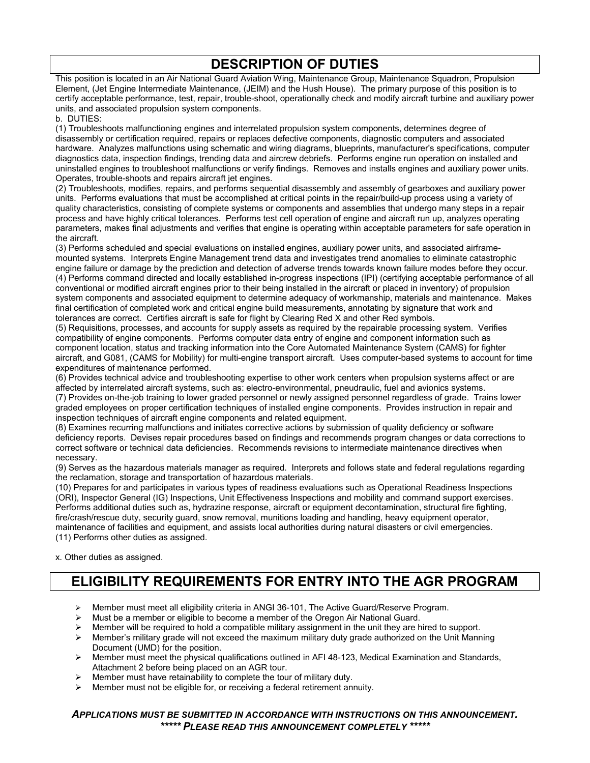## **DESCRIPTION OF DUTIES**

This position is located in an Air National Guard Aviation Wing, Maintenance Group, Maintenance Squadron, Propulsion Element, (Jet Engine Intermediate Maintenance, (JEIM) and the Hush House). The primary purpose of this position is to certify acceptable performance, test, repair, trouble-shoot, operationally check and modify aircraft turbine and auxiliary power units, and associated propulsion system components.

b. DUTIES:

(1) Troubleshoots malfunctioning engines and interrelated propulsion system components, determines degree of disassembly or certification required, repairs or replaces defective components, diagnostic computers and associated hardware. Analyzes malfunctions using schematic and wiring diagrams, blueprints, manufacturer's specifications, computer diagnostics data, inspection findings, trending data and aircrew debriefs. Performs engine run operation on installed and uninstalled engines to troubleshoot malfunctions or verify findings. Removes and installs engines and auxiliary power units. Operates, trouble-shoots and repairs aircraft jet engines.

(2) Troubleshoots, modifies, repairs, and performs sequential disassembly and assembly of gearboxes and auxiliary power units. Performs evaluations that must be accomplished at critical points in the repair/build-up process using a variety of quality characteristics, consisting of complete systems or components and assemblies that undergo many steps in a repair process and have highly critical tolerances. Performs test cell operation of engine and aircraft run up, analyzes operating parameters, makes final adjustments and verifies that engine is operating within acceptable parameters for safe operation in the aircraft.

(3) Performs scheduled and special evaluations on installed engines, auxiliary power units, and associated airframemounted systems. Interprets Engine Management trend data and investigates trend anomalies to eliminate catastrophic engine failure or damage by the prediction and detection of adverse trends towards known failure modes before they occur. (4) Performs command directed and locally established in-progress inspections (IPI) (certifying acceptable performance of all conventional or modified aircraft engines prior to their being installed in the aircraft or placed in inventory) of propulsion system components and associated equipment to determine adequacy of workmanship, materials and maintenance. Makes final certification of completed work and critical engine build measurements, annotating by signature that work and tolerances are correct. Certifies aircraft is safe for flight by Clearing Red X and other Red symbols.

(5) Requisitions, processes, and accounts for supply assets as required by the repairable processing system. Verifies compatibility of engine components. Performs computer data entry of engine and component information such as component location, status and tracking information into the Core Automated Maintenance System (CAMS) for fighter aircraft, and G081, (CAMS for Mobility) for multi-engine transport aircraft. Uses computer-based systems to account for time expenditures of maintenance performed.

(6) Provides technical advice and troubleshooting expertise to other work centers when propulsion systems affect or are affected by interrelated aircraft systems, such as: electro-environmental, pneudraulic, fuel and avionics systems. (7) Provides on-the-job training to lower graded personnel or newly assigned personnel regardless of grade. Trains lower graded employees on proper certification techniques of installed engine components. Provides instruction in repair and inspection techniques of aircraft engine components and related equipment.

(8) Examines recurring malfunctions and initiates corrective actions by submission of quality deficiency or software deficiency reports. Devises repair procedures based on findings and recommends program changes or data corrections to correct software or technical data deficiencies. Recommends revisions to intermediate maintenance directives when necessary.

(9) Serves as the hazardous materials manager as required. Interprets and follows state and federal regulations regarding the reclamation, storage and transportation of hazardous materials.

(10) Prepares for and participates in various types of readiness evaluations such as Operational Readiness Inspections (ORI), Inspector General (IG) Inspections, Unit Effectiveness Inspections and mobility and command support exercises. Performs additional duties such as, hydrazine response, aircraft or equipment decontamination, structural fire fighting, fire/crash/rescue duty, security guard, snow removal, munitions loading and handling, heavy equipment operator, maintenance of facilities and equipment, and assists local authorities during natural disasters or civil emergencies. (11) Performs other duties as assigned.

x. Other duties as assigned.

# **ELIGIBILITY REQUIREMENTS FOR ENTRY INTO THE AGR PROGRAM**

- Member must meet all eligibility criteria in ANGI 36-101, The Active Guard/Reserve Program.
- $\triangleright$  Must be a member or eligible to become a member of the Oregon Air National Guard.
- $\triangleright$  Member will be required to hold a compatible military assignment in the unit they are hired to support.
- $\triangleright$  Member's military grade will not exceed the maximum military duty grade authorized on the Unit Manning Document (UMD) for the position.
- $\triangleright$  Member must meet the physical qualifications outlined in AFI 48-123, Medical Examination and Standards, Attachment 2 before being placed on an AGR tour.
- Member must have retainability to complete the tour of military duty.
- Member must not be eligible for, or receiving a federal retirement annuity.

#### *APPLICATIONS MUST BE SUBMITTED IN ACCORDANCE WITH INSTRUCTIONS ON THIS ANNOUNCEMENT. \*\*\*\*\* PLEASE READ THIS ANNOUNCEMENT COMPLETELY \*\*\*\*\**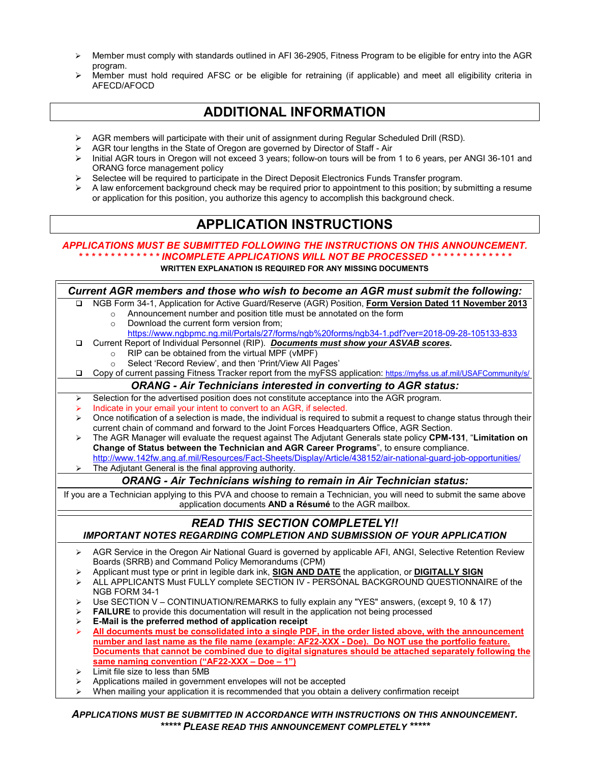- $\triangleright$  Member must comply with standards outlined in AFI 36-2905, Fitness Program to be eligible for entry into the AGR program.
- Member must hold required AFSC or be eligible for retraining (if applicable) and meet all eligibility criteria in AFECD/AFOCD

## **ADDITIONAL INFORMATION**

- ▶ AGR members will participate with their unit of assignment during Regular Scheduled Drill (RSD).
- AGR tour lengths in the State of Oregon are governed by Director of Staff Air<br>
Initial AGR tours in Oregon will not exceed 3 years: follow-on tours will be from
- Initial AGR tours in Oregon will not exceed 3 years; follow-on tours will be from 1 to 6 years, per ANGI 36-101 and ORANG force management policy
- Selectee will be required to participate in the Direct Deposit Electronics Funds Transfer program.
- A law enforcement background check may be required prior to appointment to this position; by submitting a resume or application for this position, you authorize this agency to accomplish this background check.

### **APPLICATION INSTRUCTIONS**

#### *APPLICATIONS MUST BE SUBMITTED FOLLOWING THE INSTRUCTIONS ON THIS ANNOUNCEMENT. \* \* \* \* \* \* \* \* \* \* \* \* \* INCOMPLETE APPLICATIONS WILL NOT BE PROCESSED \* \* \* \* \* \* \* \* \* \* \* \* \**

**WRITTEN EXPLANATION IS REQUIRED FOR ANY MISSING DOCUMENTS**

*Current AGR members and those who wish to become an AGR must submit the following:* NGB Form 34-1, Application for Active Guard/Reserve (AGR) Position, **Form Version Dated 11 November 2013** o Announcement number and position title must be annotated on the form o Download the current form version from; <https://www.ngbpmc.ng.mil/Portals/27/forms/ngb%20forms/ngb34-1.pdf?ver=2018-09-28-105133-833> Current Report of Individual Personnel (RIP). *Documents must show your ASVAB scores.* RIP can be obtained from the virtual MPF (vMPF) Select 'Record Review', and then 'Print/View All Pages' Copy of current passing Fitness Tracker report from the myFSS application:<https://myfss.us.af.mil/USAFCommunity/s/> *ORANG - Air Technicians interested in converting to AGR status:*  $\triangleright$  Selection for the advertised position does not constitute acceptance into the AGR program. Indicate in your email your intent to convert to an AGR, if selected.  $\triangleright$  Once notification of a selection is made, the individual is required to submit a request to change status through their current chain of command and forward to the Joint Forces Headquarters Office, AGR Section. The AGR Manager will evaluate the request against The Adjutant Generals state policy **CPM-131**, "**Limitation on Change of Status between the Technician and AGR Career Programs**", to ensure compliance. <http://www.142fw.ang.af.mil/Resources/Fact-Sheets/Display/Article/438152/air-national-guard-job-opportunities/> The Adjutant General is the final approving authority. *ORANG - Air Technicians wishing to remain in Air Technician status:* If you are a Technician applying to this PVA and choose to remain a Technician, you will need to submit the same above application documents **AND a Résumé** to the AGR mailbox. *READ THIS SECTION COMPLETELY!! IMPORTANT NOTES REGARDING COMPLETION AND SUBMISSION OF YOUR APPLICATION* ▶ AGR Service in the Oregon Air National Guard is governed by applicable AFI, ANGI, Selective Retention Review Boards (SRRB) and Command Policy Memorandums (CPM) Applicant must type or print in legible dark ink, **SIGN AND DATE** the application, or **DIGITALLY SIGN** > ALL APPLICANTS Must FULLY complete SECTION IV - PERSONAL BACKGROUND QUESTIONNAIRE of the NGB FORM 34-1  $\triangleright$  Use SECTION V – CONTINUATION/REMARKS to fully explain any "YES" answers, (except 9, 10 & 17) **FAILURE** to provide this documentation will result in the application not being processed **E-Mail is the preferred method of application receipt All documents must be consolidated into a single PDF, in the order listed above, with the announcement number and last name as the file name (example: AF22-XXX - Doe). Do NOT use the portfolio feature.** 

- **Documents that cannot be combined due to digital signatures should be attached separately following the same naming convention ("AF22-XXX – Doe – 1")**
- $\triangleright$  Limit file size to less than 5MB
- Applications mailed in government envelopes will not be accepted
- When mailing your application it is recommended that you obtain a delivery confirmation receipt

*APPLICATIONS MUST BE SUBMITTED IN ACCORDANCE WITH INSTRUCTIONS ON THIS ANNOUNCEMENT. \*\*\*\*\* PLEASE READ THIS ANNOUNCEMENT COMPLETELY \*\*\*\*\**